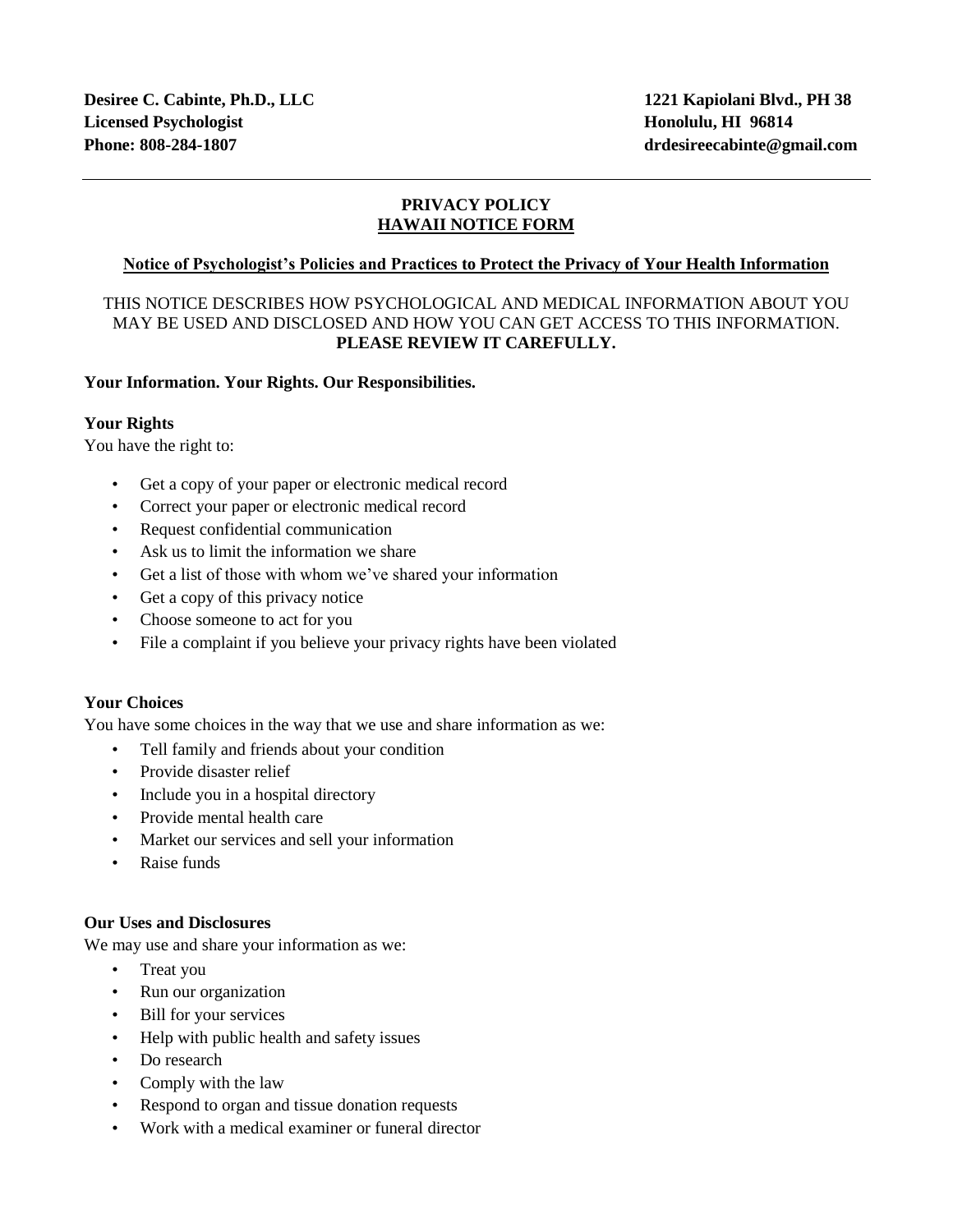#### **PRIVACY POLICY HAWAII NOTICE FORM**

### **Notice of Psychologist's Policies and Practices to Protect the Privacy of Your Health Information**

### THIS NOTICE DESCRIBES HOW PSYCHOLOGICAL AND MEDICAL INFORMATION ABOUT YOU MAY BE USED AND DISCLOSED AND HOW YOU CAN GET ACCESS TO THIS INFORMATION. **PLEASE REVIEW IT CAREFULLY.**

#### **Your Information. Your Rights. Our Responsibilities.**

#### **Your Rights**

You have the right to:

- Get a copy of your paper or electronic medical record
- Correct your paper or electronic medical record
- Request confidential communication
- Ask us to limit the information we share
- Get a list of those with whom we've shared your information
- Get a copy of this privacy notice
- Choose someone to act for you
- File a complaint if you believe your privacy rights have been violated

#### **Your Choices**

You have some choices in the way that we use and share information as we:

- Tell family and friends about your condition
- Provide disaster relief
- Include you in a hospital directory
- Provide mental health care
- Market our services and sell your information
- Raise funds

#### **Our Uses and Disclosures**

We may use and share your information as we:

- Treat you
- Run our organization
- Bill for your services
- Help with public health and safety issues
- Do research
- Comply with the law
- Respond to organ and tissue donation requests
- Work with a medical examiner or funeral director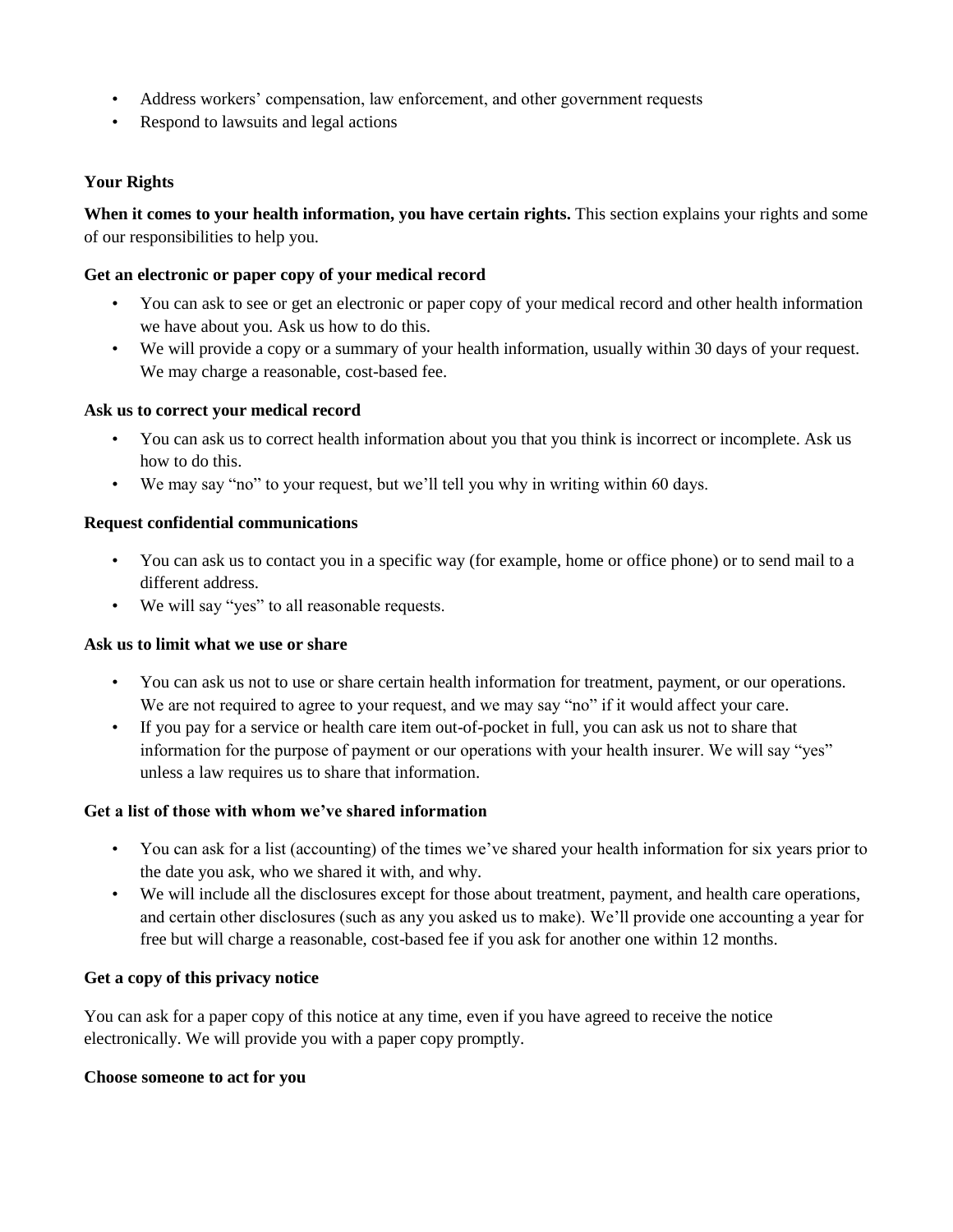- Address workers' compensation, law enforcement, and other government requests
- Respond to lawsuits and legal actions

## **Your Rights**

When it comes to your health information, you have certain rights. This section explains your rights and some of our responsibilities to help you.

### **Get an electronic or paper copy of your medical record**

- You can ask to see or get an electronic or paper copy of your medical record and other health information we have about you. Ask us how to do this.
- We will provide a copy or a summary of your health information, usually within 30 days of your request. We may charge a reasonable, cost-based fee.

#### **Ask us to correct your medical record**

- You can ask us to correct health information about you that you think is incorrect or incomplete. Ask us how to do this.
- We may say "no" to your request, but we'll tell you why in writing within 60 days.

### **Request confidential communications**

- You can ask us to contact you in a specific way (for example, home or office phone) or to send mail to a different address.
- We will say "yes" to all reasonable requests.

#### **Ask us to limit what we use or share**

- You can ask us not to use or share certain health information for treatment, payment, or our operations. We are not required to agree to your request, and we may say "no" if it would affect your care.
- If you pay for a service or health care item out-of-pocket in full, you can ask us not to share that information for the purpose of payment or our operations with your health insurer. We will say "yes" unless a law requires us to share that information.

#### **Get a list of those with whom we've shared information**

- You can ask for a list (accounting) of the times we've shared your health information for six years prior to the date you ask, who we shared it with, and why.
- We will include all the disclosures except for those about treatment, payment, and health care operations, and certain other disclosures (such as any you asked us to make). We'll provide one accounting a year for free but will charge a reasonable, cost-based fee if you ask for another one within 12 months.

#### **Get a copy of this privacy notice**

You can ask for a paper copy of this notice at any time, even if you have agreed to receive the notice electronically. We will provide you with a paper copy promptly.

### **Choose someone to act for you**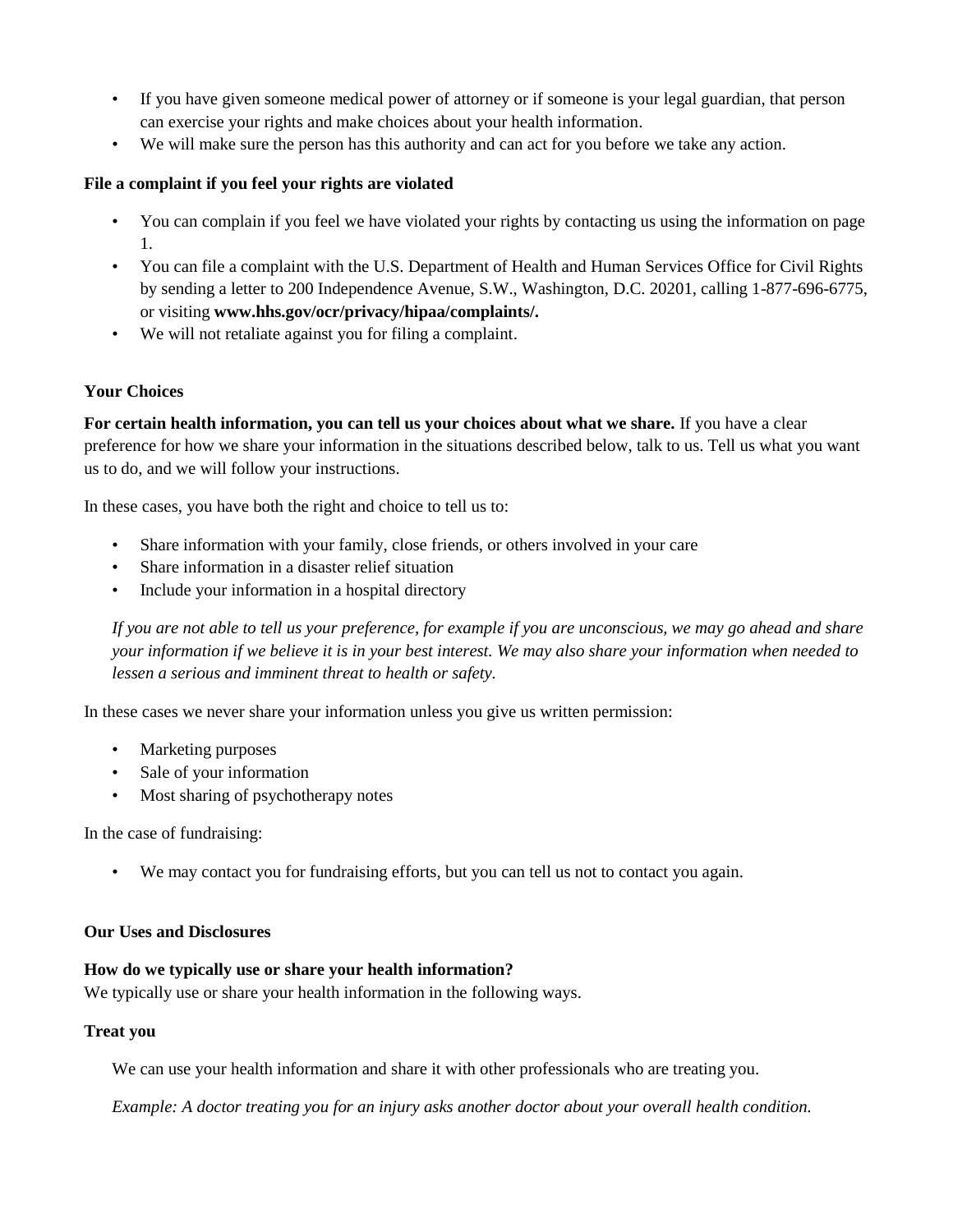- If you have given someone medical power of attorney or if someone is your legal guardian, that person can exercise your rights and make choices about your health information.
- We will make sure the person has this authority and can act for you before we take any action.

### **File a complaint if you feel your rights are violated**

- You can complain if you feel we have violated your rights by contacting us using the information on page 1.
- You can file a complaint with the U.S. Department of Health and Human Services Office for Civil Rights by sending a letter to 200 Independence Avenue, S.W., Washington, D.C. 20201, calling 1-877-696-6775, or visiting **www.hhs.gov/ocr/privacy/hipaa/complaints/.**
- We will not retaliate against you for filing a complaint.

#### **Your Choices**

**For certain health information, you can tell us your choices about what we share.** If you have a clear preference for how we share your information in the situations described below, talk to us. Tell us what you want us to do, and we will follow your instructions.

In these cases, you have both the right and choice to tell us to:

- Share information with your family, close friends, or others involved in your care
- Share information in a disaster relief situation
- Include your information in a hospital directory

*If you are not able to tell us your preference, for example if you are unconscious, we may go ahead and share your information if we believe it is in your best interest. We may also share your information when needed to lessen a serious and imminent threat to health or safety.*

In these cases we never share your information unless you give us written permission:

- Marketing purposes
- Sale of your information
- Most sharing of psychotherapy notes

In the case of fundraising:

• We may contact you for fundraising efforts, but you can tell us not to contact you again.

#### **Our Uses and Disclosures**

#### **How do we typically use or share your health information?**

We typically use or share your health information in the following ways.

#### **Treat you**

We can use your health information and share it with other professionals who are treating you.

*Example: A doctor treating you for an injury asks another doctor about your overall health condition.*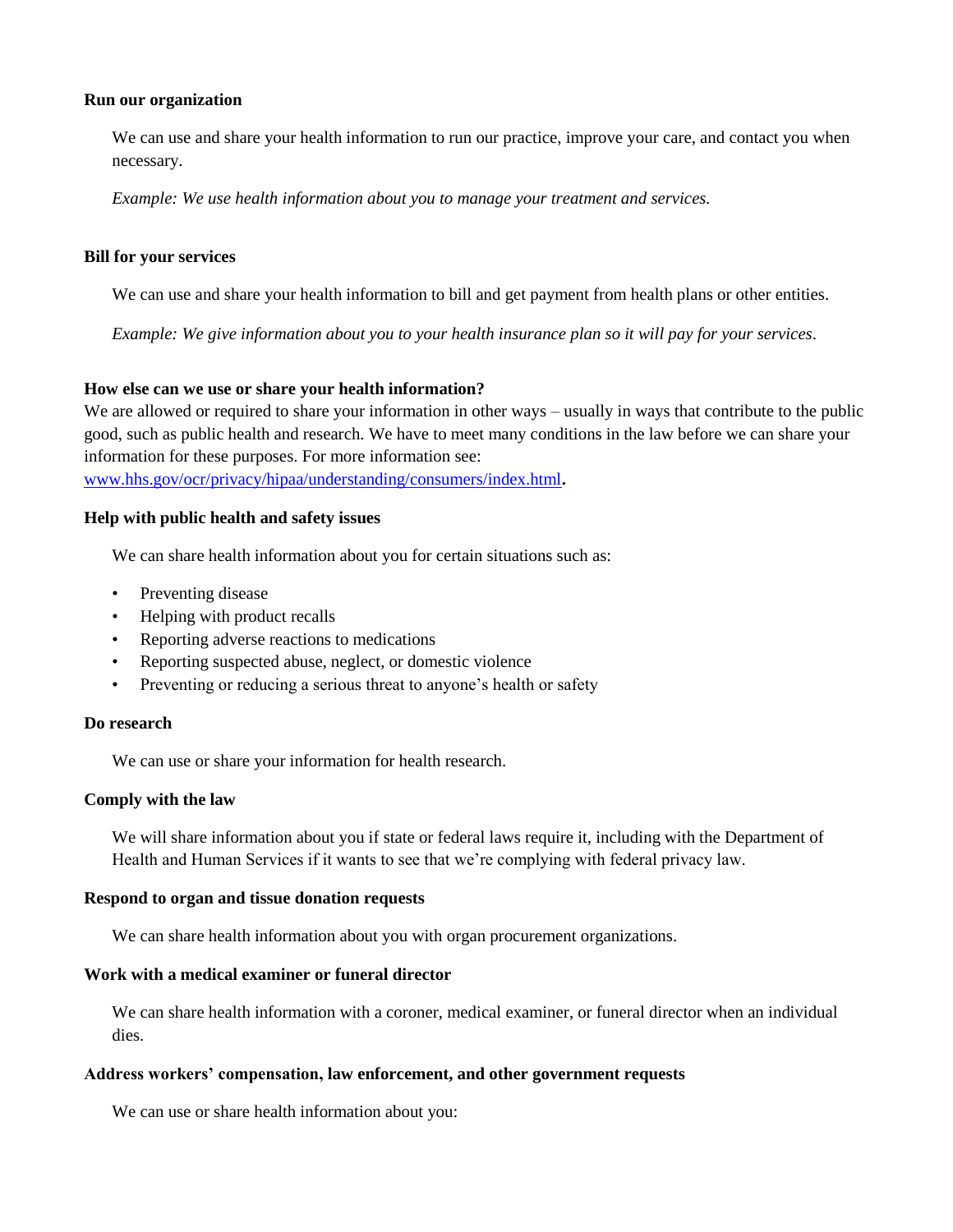#### **Run our organization**

We can use and share your health information to run our practice, improve your care, and contact you when necessary.

*Example: We use health information about you to manage your treatment and services.* 

#### **Bill for your services**

We can use and share your health information to bill and get payment from health plans or other entities.

*Example: We give information about you to your health insurance plan so it will pay for your services.* 

#### **How else can we use or share your health information?**

We are allowed or required to share your information in other ways – usually in ways that contribute to the public good, such as public health and research. We have to meet many conditions in the law before we can share your information for these purposes. For more information see:

[www.hhs.gov/ocr/privacy/hipaa/understanding/consumers/index.html](http://www.hhs.gov/ocr/privacy/hipaa/understanding/consumers/index.html)**.**

#### **Help with public health and safety issues**

We can share health information about you for certain situations such as:

- Preventing disease
- Helping with product recalls
- Reporting adverse reactions to medications
- Reporting suspected abuse, neglect, or domestic violence
- Preventing or reducing a serious threat to anyone's health or safety

#### **Do research**

We can use or share your information for health research.

#### **Comply with the law**

We will share information about you if state or federal laws require it, including with the Department of Health and Human Services if it wants to see that we're complying with federal privacy law.

#### **Respond to organ and tissue donation requests**

We can share health information about you with organ procurement organizations.

#### **Work with a medical examiner or funeral director**

We can share health information with a coroner, medical examiner, or funeral director when an individual dies.

# **Address workers' compensation, law enforcement, and other government requests**

We can use or share health information about you: